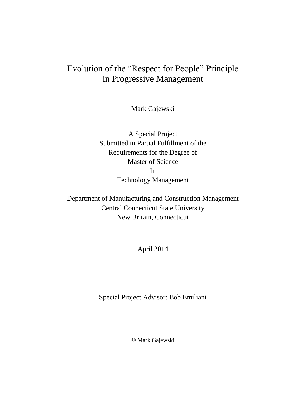# Evolution of the "Respect for People" Principle in Progressive Management

Mark Gajewski

A Special Project Submitted in Partial Fulfillment of the Requirements for the Degree of Master of Science In Technology Management

Department of Manufacturing and Construction Management Central Connecticut State University New Britain, Connecticut

April 2014

Special Project Advisor: Bob Emiliani

© Mark Gajewski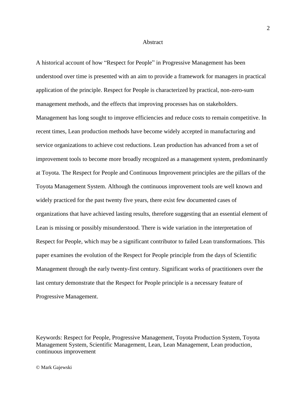#### Abstract

A historical account of how "Respect for People" in Progressive Management has been understood over time is presented with an aim to provide a framework for managers in practical application of the principle. Respect for People is characterized by practical, non-zero-sum management methods, and the effects that improving processes has on stakeholders. Management has long sought to improve efficiencies and reduce costs to remain competitive. In recent times, Lean production methods have become widely accepted in manufacturing and service organizations to achieve cost reductions. Lean production has advanced from a set of improvement tools to become more broadly recognized as a management system, predominantly at Toyota. The Respect for People and Continuous Improvement principles are the pillars of the Toyota Management System. Although the continuous improvement tools are well known and widely practiced for the past twenty five years, there exist few documented cases of organizations that have achieved lasting results, therefore suggesting that an essential element of Lean is missing or possibly misunderstood. There is wide variation in the interpretation of Respect for People, which may be a significant contributor to failed Lean transformations. This paper examines the evolution of the Respect for People principle from the days of Scientific Management through the early twenty-first century. Significant works of practitioners over the last century demonstrate that the Respect for People principle is a necessary feature of Progressive Management.

Keywords: Respect for People, Progressive Management, Toyota Production System, Toyota Management System, Scientific Management, Lean, Lean Management, Lean production, continuous improvement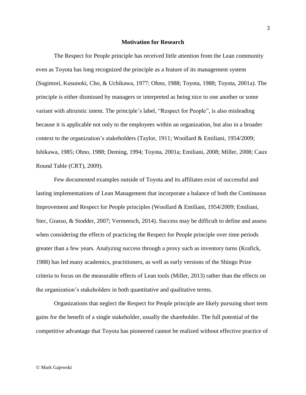### **Motivation for Research**

The Respect for People principle has received little attention from the Lean community even as Toyota has long recognized the principle as a feature of its management system (Sugimori, Kusunoki, Cho, & Uchikawa, 1977; Ohno, 1988; Toyota, 1988; Toyota, 2001a). The principle is either dismissed by managers or interpreted as being nice to one another or some variant with altruistic intent. The principle's label, "Respect for People", is also misleading because it is applicable not only to the employees within an organization, but also in a broader context to the organization's stakeholders (Taylor, 1911; Woollard & Emiliani, 1954/2009; Ishikawa, 1985; Ohno, 1988; Deming, 1994; Toyota, 2001a; Emiliani, 2008; Miller, 2008; Caux Round Table (CRT), 2009).

Few documented examples outside of Toyota and its affiliates exist of successful and lasting implementations of Lean Management that incorporate a balance of both the Continuous Improvement and Respect for People principles (Woollard & Emiliani, 1954/2009; Emiliani, Stec, Grasso, & Stodder, 2007; Vermeesch, 2014). Success may be difficult to define and assess when considering the effects of practicing the Respect for People principle over time periods greater than a few years. Analyzing success through a proxy such as inventory turns (Krafick, 1988) has led many academics, practitioners, as well as early versions of the Shingo Prize criteria to focus on the measurable effects of Lean tools (Miller, 2013) rather than the effects on the organization's stakeholders in both quantitative and qualitative terms.

Organizations that neglect the Respect for People principle are likely pursuing short term gains for the benefit of a single stakeholder, usually the shareholder. The full potential of the competitive advantage that Toyota has pioneered cannot be realized without effective practice of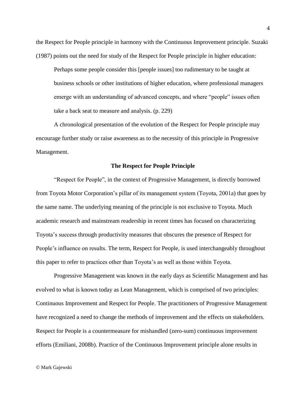the Respect for People principle in harmony with the Continuous Improvement principle. Suzaki (1987) points out the need for study of the Respect for People principle in higher education:

Perhaps some people consider this [people issues] too rudimentary to be taught at business schools or other institutions of higher education, where professional managers emerge with an understanding of advanced concepts, and where "people" issues often take a back seat to measure and analysis. (p. 229)

A chronological presentation of the evolution of the Respect for People principle may encourage further study or raise awareness as to the necessity of this principle in Progressive Management.

## **The Respect for People Principle**

"Respect for People", in the context of Progressive Management, is directly borrowed from Toyota Motor Corporation's pillar of its management system (Toyota, 2001a) that goes by the same name. The underlying meaning of the principle is not exclusive to Toyota. Much academic research and mainstream readership in recent times has focused on characterizing Toyota's success through productivity measures that obscures the presence of Respect for People's influence on results. The term, Respect for People, is used interchangeably throughout this paper to refer to practices other than Toyota's as well as those within Toyota.

Progressive Management was known in the early days as Scientific Management and has evolved to what is known today as Lean Management, which is comprised of two principles: Continuous Improvement and Respect for People. The practitioners of Progressive Management have recognized a need to change the methods of improvement and the effects on stakeholders. Respect for People is a countermeasure for mishandled (zero-sum) continuous improvement efforts (Emiliani, 2008b). Practice of the Continuous Improvement principle alone results in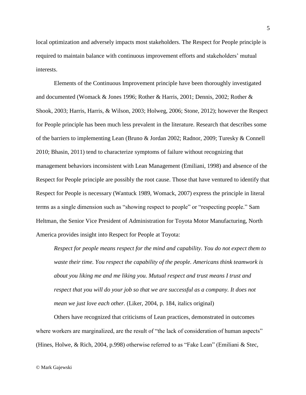local optimization and adversely impacts most stakeholders. The Respect for People principle is required to maintain balance with continuous improvement efforts and stakeholders' mutual interests.

Elements of the Continuous Improvement principle have been thoroughly investigated and documented (Womack & Jones 1996; Rother & Harris, 2001; Dennis, 2002; Rother & Shook, 2003; Harris, Harris, & Wilson, 2003; Holweg, 2006; Stone, 2012); however the Respect for People principle has been much less prevalent in the literature. Research that describes some of the barriers to implementing Lean (Bruno & Jordan 2002; Radnor, 2009; Turesky & Connell 2010; Bhasin, 2011) tend to characterize symptoms of failure without recognizing that management behaviors inconsistent with Lean Management (Emiliani, 1998) and absence of the Respect for People principle are possibly the root cause. Those that have ventured to identify that Respect for People is necessary (Wantuck 1989, Womack, 2007) express the principle in literal terms as a single dimension such as "showing respect to people" or "respecting people." Sam Heltman, the Senior Vice President of Administration for Toyota Motor Manufacturing, North America provides insight into Respect for People at Toyota:

*Respect for people means respect for the mind and capability. You do not expect them to waste their time. You respect the capability of the people. Americans think teamwork is about you liking me and me liking you. Mutual respect and trust means I trust and respect that you will do your job so that we are successful as a company. It does not mean we just love each other.* (Liker, 2004, p. 184, italics original)

Others have recognized that criticisms of Lean practices, demonstrated in outcomes where workers are marginalized, are the result of "the lack of consideration of human aspects" (Hines, Holwe, & Rich, 2004, p.998) otherwise referred to as "Fake Lean" (Emiliani & Stec,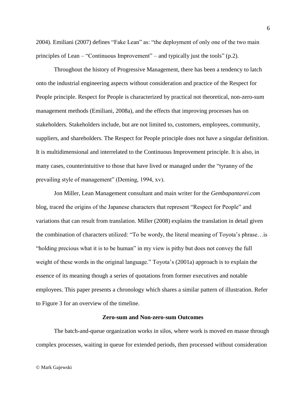2004). Emiliani (2007) defines "Fake Lean" as: "the deployment of only one of the two main principles of Lean – "Continuous Improvement" – and typically just the tools" (p.2).

Throughout the history of Progressive Management, there has been a tendency to latch onto the industrial engineering aspects without consideration and practice of the Respect for People principle. Respect for People is characterized by practical not theoretical, non-zero-sum management methods (Emiliani, 2008a), and the effects that improving processes has on stakeholders. Stakeholders include, but are not limited to, customers, employees, community, suppliers, and shareholders. The Respect for People principle does not have a singular definition. It is multidimensional and interrelated to the Continuous Improvement principle. It is also, in many cases, counterintuitive to those that have lived or managed under the "tyranny of the prevailing style of management" (Deming, 1994, xv).

Jon Miller, Lean Management consultant and main writer for the *Gembapantarei.com* blog, traced the origins of the Japanese characters that represent "Respect for People" and variations that can result from translation. Miller (2008) explains the translation in detail given the combination of characters utilized: "To be wordy, the literal meaning of Toyota's phrase…is "holding precious what it is to be human" in my view is pithy but does not convey the full weight of these words in the original language." Toyota's (2001a) approach is to explain the essence of its meaning though a series of quotations from former executives and notable employees. This paper presents a chronology which shares a similar pattern of illustration. Refer to [Figure 3](#page-37-0) for an overview of the timeline.

## **Zero-sum and Non-zero-sum Outcomes**

The batch-and-queue organization works in silos, where work is moved en masse through complex processes, waiting in queue for extended periods, then processed without consideration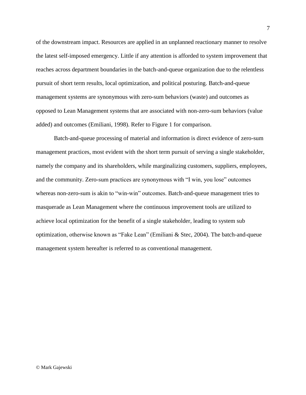of the downstream impact. Resources are applied in an unplanned reactionary manner to resolve the latest self-imposed emergency. Little if any attention is afforded to system improvement that reaches across department boundaries in the batch-and-queue organization due to the relentless pursuit of short term results, local optimization, and political posturing. Batch-and-queue management systems are synonymous with zero-sum behaviors (waste) and outcomes as opposed to Lean Management systems that are associated with non-zero-sum behaviors (value added) and outcomes (Emiliani, 1998). Refer to [Figure 1](#page-7-0) for comparison.

Batch-and-queue processing of material and information is direct evidence of zero-sum management practices, most evident with the short term pursuit of serving a single stakeholder, namely the company and its shareholders, while marginalizing customers, suppliers, employees, and the community. Zero-sum practices are synonymous with "I win, you lose" outcomes whereas non-zero-sum is akin to "win-win" outcomes. Batch-and-queue management tries to masquerade as Lean Management where the continuous improvement tools are utilized to achieve local optimization for the benefit of a single stakeholder, leading to system sub optimization, otherwise known as "Fake Lean" (Emiliani & Stec, 2004). The batch-and-queue management system hereafter is referred to as conventional management.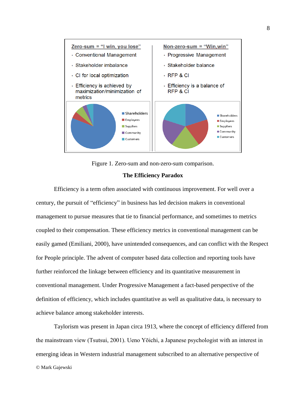

Figure 1. Zero-sum and non-zero-sum comparison.

## **The Efficiency Paradox**

<span id="page-7-0"></span>Efficiency is a term often associated with continuous improvement. For well over a century, the pursuit of "efficiency" in business has led decision makers in conventional management to pursue measures that tie to financial performance, and sometimes to metrics coupled to their compensation. These efficiency metrics in conventional management can be easily gamed (Emiliani, 2000), have unintended consequences, and can conflict with the Respect for People principle. The advent of computer based data collection and reporting tools have further reinforced the linkage between efficiency and its quantitative measurement in conventional management. Under Progressive Management a fact-based perspective of the definition of efficiency, which includes quantitative as well as qualitative data, is necessary to achieve balance among stakeholder interests.

© Mark Gajewski Taylorism was present in Japan circa 1913, where the concept of efficiency differed from the mainstream view (Tsutsui, 2001). Ueno Yōichi, a Japanese psychologist with an interest in emerging ideas in Western industrial management subscribed to an alternative perspective of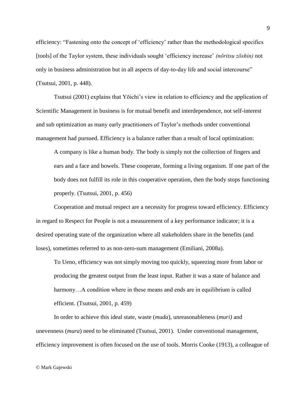efficiency: "Fastening onto the concept of 'efficiency' rather than the methodological specifics [tools] of the Taylor system, these individuals sought 'efficiency increase' *(nōritsu zōshin)* not only in business administration but in all aspects of day-to-day life and social intercourse" (Tsutsui, 2001, p. 448).

Tsutsui (2001) explains that Yōichi's view in relation to efficiency and the application of Scientific Management in business is for mutual benefit and interdependence, not self-interest and sub optimization as many early practitioners of Taylor's methods under conventional management had pursued. Efficiency is a balance rather than a result of local optimization:

A company is like a human body. The body is simply not the collection of fingers and ears and a face and bowels. These cooperate, forming a living organism. If one part of the body does not fulfill its role in this cooperative operation, then the body stops functioning properly. (Tsutsui, 2001, p. 456)

Cooperation and mutual respect are a necessity for progress toward efficiency. Efficiency in regard to Respect for People is not a measurement of a key performance indicator; it is a desired operating state of the organization where all stakeholders share in the benefits (and loses), sometimes referred to as non-zero-sum management (Emiliani, 2008a).

To Ueno, efficiency was not simply moving too quickly, squeezing more from labor or producing the greatest output from the least input. Rather it was a state of balance and harmony... A condition where in these means and ends are in equilibrium is called efficient. (Tsutsui, 2001, p. 459)

In order to achieve this ideal state, waste (*muda*), unreasonableness (*muri)* and unevenness (*mura*) need to be eliminated (Tsutsui, 2001). Under conventional management, efficiency improvement is often focused on the use of tools. Morris Cooke (1913), a colleague of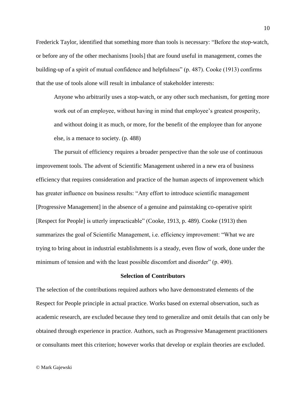Frederick Taylor, identified that something more than tools is necessary: "Before the stop-watch, or before any of the other mechanisms [tools] that are found useful in management, comes the building-up of a spirit of mutual confidence and helpfulness" (p. 487). Cooke (1913) confirms that the use of tools alone will result in imbalance of stakeholder interests:

Anyone who arbitrarily uses a stop-watch, or any other such mechanism, for getting more work out of an employee, without having in mind that employee's greatest prosperity, and without doing it as much, or more, for the benefit of the employee than for anyone else, is a menace to society. (p. 488)

The pursuit of efficiency requires a broader perspective than the sole use of continuous improvement tools. The advent of Scientific Management ushered in a new era of business efficiency that requires consideration and practice of the human aspects of improvement which has greater influence on business results: "Any effort to introduce scientific management [Progressive Management] in the absence of a genuine and painstaking co-operative spirit [Respect for People] is utterly impracticable" (Cooke, 1913, p. 489). Cooke (1913) then summarizes the goal of Scientific Management, i.e. efficiency improvement: "What we are trying to bring about in industrial establishments is a steady, even flow of work, done under the minimum of tension and with the least possible discomfort and disorder" (p. 490).

#### **Selection of Contributors**

The selection of the contributions required authors who have demonstrated elements of the Respect for People principle in actual practice. Works based on external observation, such as academic research, are excluded because they tend to generalize and omit details that can only be obtained through experience in practice. Authors, such as Progressive Management practitioners or consultants meet this criterion; however works that develop or explain theories are excluded.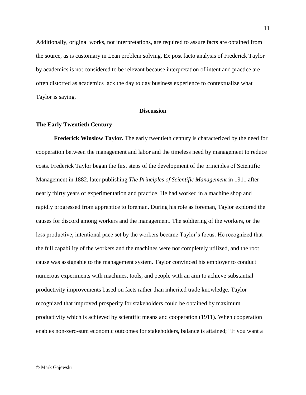Additionally, original works, not interpretations, are required to assure facts are obtained from the source, as is customary in Lean problem solving. Ex post facto analysis of Frederick Taylor by academics is not considered to be relevant because interpretation of intent and practice are often distorted as academics lack the day to day business experience to contextualize what Taylor is saying.

## **Discussion**

## **The Early Twentieth Century**

**Frederick Winslow Taylor.** The early twentieth century is characterized by the need for cooperation between the management and labor and the timeless need by management to reduce costs. Frederick Taylor began the first steps of the development of the principles of Scientific Management in 1882, later publishing *The Principles of Scientific Management* in 1911 after nearly thirty years of experimentation and practice. He had worked in a machine shop and rapidly progressed from apprentice to foreman. During his role as foreman, Taylor explored the causes for discord among workers and the management. The soldiering of the workers, or the less productive, intentional pace set by the workers became Taylor's focus. He recognized that the full capability of the workers and the machines were not completely utilized, and the root cause was assignable to the management system. Taylor convinced his employer to conduct numerous experiments with machines, tools, and people with an aim to achieve substantial productivity improvements based on facts rather than inherited trade knowledge. Taylor recognized that improved prosperity for stakeholders could be obtained by maximum productivity which is achieved by scientific means and cooperation (1911). When cooperation enables non-zero-sum economic outcomes for stakeholders, balance is attained; "If you want a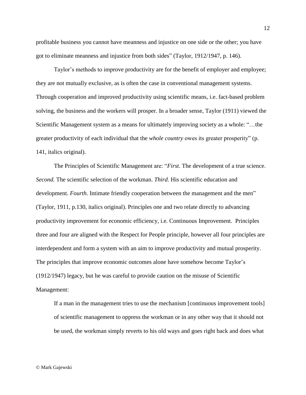profitable business you cannot have meanness and injustice on one side or the other; you have got to eliminate meanness and injustice from both sides" (Taylor, 1912/1947, p. 146).

Taylor's methods to improve productivity are for the benefit of employer and employee; they are not mutually exclusive, as is often the case in conventional management systems. Through cooperation and improved productivity using scientific means, i.e. fact-based problem solving, the business and the workers will prosper. In a broader sense, Taylor (1911) viewed the Scientific Management system as a means for ultimately improving society as a whole: "…the greater productivity of each individual that the *whole country* owes its greater prosperity" (p. 141, italics original).

The Principles of Scientific Management are: "*First*. The development of a true science. *Second.* The scientific selection of the workman. *Third*. His scientific education and development. *Fourth*. Intimate friendly cooperation between the management and the men" (Taylor, 1911, p.130, italics original). Principles one and two relate directly to advancing productivity improvement for economic efficiency, i.e. Continuous Improvement. Principles three and four are aligned with the Respect for People principle, however all four principles are interdependent and form a system with an aim to improve productivity and mutual prosperity. The principles that improve economic outcomes alone have somehow become Taylor's (1912/1947) legacy, but he was careful to provide caution on the misuse of Scientific Management:

If a man in the management tries to use the mechanism [continuous improvement tools] of scientific management to oppress the workman or in any other way that it should not be used, the workman simply reverts to his old ways and goes right back and does what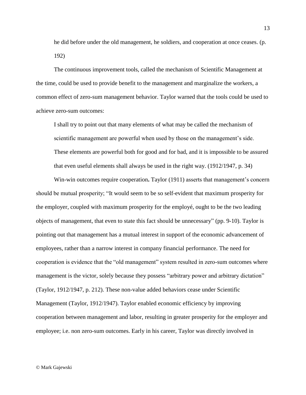he did before under the old management, he soldiers, and cooperation at once ceases. (p. 192)

The continuous improvement tools, called the mechanism of Scientific Management at the time, could be used to provide benefit to the management and marginalize the workers, a common effect of zero-sum management behavior. Taylor warned that the tools could be used to achieve zero-sum outcomes:

I shall try to point out that many elements of what may be called the mechanism of scientific management are powerful when used by those on the management's side. These elements are powerful both for good and for bad, and it is impossible to be assured that even useful elements shall always be used in the right way. (1912/1947, p. 34)

Win-win outcomes require cooperation**.** Taylor (1911) asserts that management's concern should be mutual prosperity; "It would seem to be so self-evident that maximum prosperity for the employer, coupled with maximum prosperity for the employé, ought to be the two leading objects of management, that even to state this fact should be unnecessary" (pp. 9-10). Taylor is pointing out that management has a mutual interest in support of the economic advancement of employees, rather than a narrow interest in company financial performance. The need for cooperation is evidence that the "old management" system resulted in zero-sum outcomes where management is the victor, solely because they possess "arbitrary power and arbitrary dictation" (Taylor, 1912/1947, p. 212). These non-value added behaviors cease under Scientific Management (Taylor, 1912/1947). Taylor enabled economic efficiency by improving cooperation between management and labor, resulting in greater prosperity for the employer and employee; i.e. non zero-sum outcomes. Early in his career, Taylor was directly involved in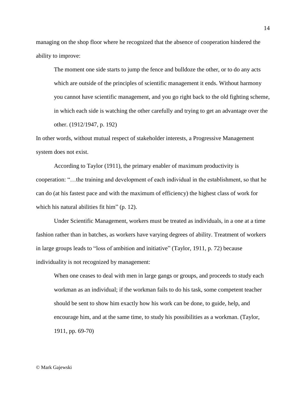managing on the shop floor where he recognized that the absence of cooperation hindered the ability to improve:

The moment one side starts to jump the fence and bulldoze the other, or to do any acts which are outside of the principles of scientific management it ends. Without harmony you cannot have scientific management, and you go right back to the old fighting scheme, in which each side is watching the other carefully and trying to get an advantage over the other. (1912/1947, p. 192)

In other words, without mutual respect of stakeholder interests, a Progressive Management system does not exist.

According to Taylor (1911), the primary enabler of maximum productivity is cooperation: "…the training and development of each individual in the establishment, so that he can do (at his fastest pace and with the maximum of efficiency) the highest class of work for which his natural abilities fit him" (p. 12).

Under Scientific Management, workers must be treated as individuals, in a one at a time fashion rather than in batches, as workers have varying degrees of ability. Treatment of workers in large groups leads to "loss of ambition and initiative" (Taylor, 1911, p. 72) because individuality is not recognized by management:

When one ceases to deal with men in large gangs or groups, and proceeds to study each workman as an individual; if the workman fails to do his task, some competent teacher should be sent to show him exactly how his work can be done, to guide, help, and encourage him, and at the same time, to study his possibilities as a workman. (Taylor, 1911, pp. 69-70)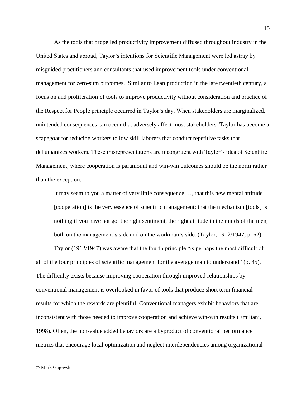As the tools that propelled productivity improvement diffused throughout industry in the United States and abroad, Taylor's intentions for Scientific Management were led astray by misguided practitioners and consultants that used improvement tools under conventional management for zero-sum outcomes. Similar to Lean production in the late twentieth century, a focus on and proliferation of tools to improve productivity without consideration and practice of the Respect for People principle occurred in Taylor's day. When stakeholders are marginalized, unintended consequences can occur that adversely affect most stakeholders. Taylor has become a scapegoat for reducing workers to low skill laborers that conduct repetitive tasks that dehumanizes workers. These misrepresentations are incongruent with Taylor's idea of Scientific Management, where cooperation is paramount and win-win outcomes should be the norm rather than the exception:

It may seem to you a matter of very little consequence,…, that this new mental attitude [cooperation] is the very essence of scientific management; that the mechanism [tools] is nothing if you have not got the right sentiment, the right attitude in the minds of the men, both on the management's side and on the workman's side. (Taylor, 1912/1947, p. 62)

Taylor (1912/1947) was aware that the fourth principle "is perhaps the most difficult of all of the four principles of scientific management for the average man to understand" (p. 45). The difficulty exists because improving cooperation through improved relationships by conventional management is overlooked in favor of tools that produce short term financial results for which the rewards are plentiful. Conventional managers exhibit behaviors that are inconsistent with those needed to improve cooperation and achieve win-win results (Emiliani, 1998). Often, the non-value added behaviors are a byproduct of conventional performance metrics that encourage local optimization and neglect interdependencies among organizational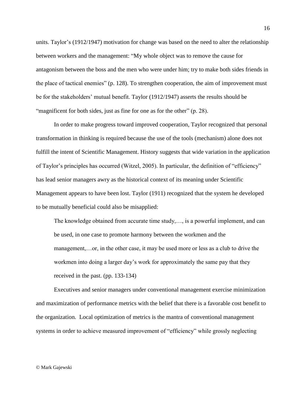units. Taylor's (1912/1947) motivation for change was based on the need to alter the relationship between workers and the management: "My whole object was to remove the cause for antagonism between the boss and the men who were under him; try to make both sides friends in the place of tactical enemies" (p. 128). To strengthen cooperation, the aim of improvement must be for the stakeholders' mutual benefit. Taylor (1912/1947) asserts the results should be "magnificent for both sides, just as fine for one as for the other" (p. 28).

In order to make progress toward improved cooperation, Taylor recognized that personal transformation in thinking is required because the use of the tools (mechanism) alone does not fulfill the intent of Scientific Management. History suggests that wide variation in the application of Taylor's principles has occurred (Witzel, 2005). In particular, the definition of "efficiency" has lead senior managers awry as the historical context of its meaning under Scientific Management appears to have been lost. Taylor (1911) recognized that the system he developed to be mutually beneficial could also be misapplied:

The knowledge obtained from accurate time study,…, is a powerful implement, and can be used, in one case to promote harmony between the workmen and the management,…or, in the other case, it may be used more or less as a club to drive the workmen into doing a larger day's work for approximately the same pay that they received in the past. (pp. 133-134)

Executives and senior managers under conventional management exercise minimization and maximization of performance metrics with the belief that there is a favorable cost benefit to the organization. Local optimization of metrics is the mantra of conventional management systems in order to achieve measured improvement of "efficiency" while grossly neglecting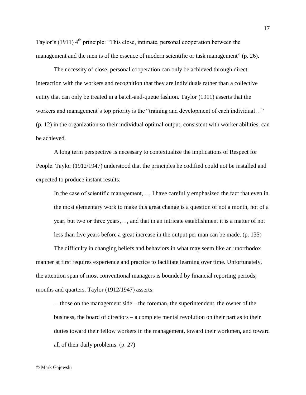Taylor's (1911)  $4<sup>th</sup>$  principle: "This close, intimate, personal cooperation between the management and the men is of the essence of modern scientific or task management" (p. 26).

The necessity of close, personal cooperation can only be achieved through direct interaction with the workers and recognition that they are individuals rather than a collective entity that can only be treated in a batch-and-queue fashion. Taylor (1911) asserts that the workers and management's top priority is the "training and development of each individual…" (p. 12) in the organization so their individual optimal output, consistent with worker abilities, can be achieved.

A long term perspective is necessary to contextualize the implications of Respect for People. Taylor (1912/1947) understood that the principles he codified could not be installed and expected to produce instant results:

In the case of scientific management,…, I have carefully emphasized the fact that even in the most elementary work to make this great change is a question of not a month, not of a year, but two or three years,…, and that in an intricate establishment it is a matter of not less than five years before a great increase in the output per man can be made. (p. 135)

The difficulty in changing beliefs and behaviors in what may seem like an unorthodox manner at first requires experience and practice to facilitate learning over time. Unfortunately, the attention span of most conventional managers is bounded by financial reporting periods; months and quarters. Taylor (1912/1947) asserts:

…those on the management side – the foreman, the superintendent, the owner of the business, the board of directors – a complete mental revolution on their part as to their duties toward their fellow workers in the management, toward their workmen, and toward all of their daily problems. (p. 27)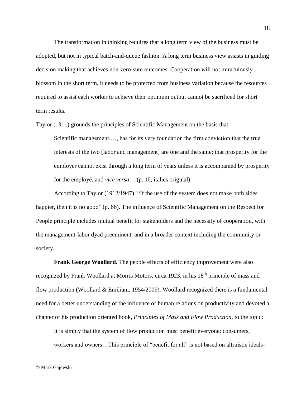The transformation in thinking requires that a long term view of the business must be adopted, but not in typical batch-and-queue fashion. A long term business view assists in guiding decision making that achieves non-zero-sum outcomes. Cooperation will not miraculously blossom in the short term, it needs to be protected from business variation because the resources required to assist each worker to achieve their optimum output cannot be sacrificed for short term results.

Taylor (1911) grounds the principles of Scientific Management on the basis that:

Scientific management,…, has for its very foundation the firm conviction that the true interests of the two [labor and management] are one and the same; that prosperity for the employer cannot exist through a long term of years unless it is accompanied by prosperity for the employé, and *vice versa*… (p. 10, italics original)

According to Taylor (1912/1947): "If the use of the system does not make both sides happier, then it is no good" (p. 66). The influence of Scientific Management on the Respect for People principle includes mutual benefit for stakeholders and the necessity of cooperation, with the management-labor dyad preeminent, and in a broader context including the community or society.

**Frank George Woollard.** The people effects of efficiency improvement were also recognized by Frank Woollard at Morris Motors, circa 1923, in his 18<sup>th</sup> principle of mass and flow production (Woollard & Emiliani, 1954/2009). Woollard recognized there is a fundamental need for a better understanding of the influence of human relations on productivity and devoted a chapter of his production oriented book, *Principles of Mass and Flow Production*, to the topic:

It is simply that the system of flow production must benefit everyone: consumers, workers and owners...This principle of "benefit for all" is not based on altruistic ideals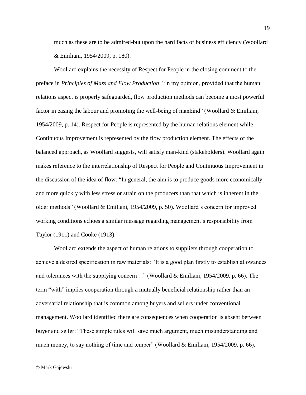much as these are to be admired-but upon the hard facts of business efficiency (Woollard & Emiliani, 1954/2009, p. 180).

Woollard explains the necessity of Respect for People in the closing comment to the preface in *Principles of Mass and Flow Production*: "In my opinion, provided that the human relations aspect is properly safeguarded, flow production methods can become a most powerful factor in easing the labour and promoting the well-being of mankind" (Woollard & Emiliani, 1954/2009, p. 14). Respect for People is represented by the human relations element while Continuous Improvement is represented by the flow production element. The effects of the balanced approach, as Woollard suggests, will satisfy man-kind (stakeholders). Woollard again makes reference to the interrelationship of Respect for People and Continuous Improvement in the discussion of the idea of flow: "In general, the aim is to produce goods more economically and more quickly with less stress or strain on the producers than that which is inherent in the older methods" (Woollard & Emiliani, 1954/2009, p. 50). Woollard's concern for improved working conditions echoes a similar message regarding management's responsibility from Taylor (1911) and Cooke (1913).

Woollard extends the aspect of human relations to suppliers through cooperation to achieve a desired specification in raw materials: "It is a good plan firstly to establish allowances and tolerances with the supplying concern…" (Woollard & Emiliani, 1954/2009, p. 66). The term "with" implies cooperation through a mutually beneficial relationship rather than an adversarial relationship that is common among buyers and sellers under conventional management. Woollard identified there are consequences when cooperation is absent between buyer and seller: "These simple rules will save much argument, much misunderstanding and much money, to say nothing of time and temper" (Woollard & Emiliani, 1954/2009, p. 66).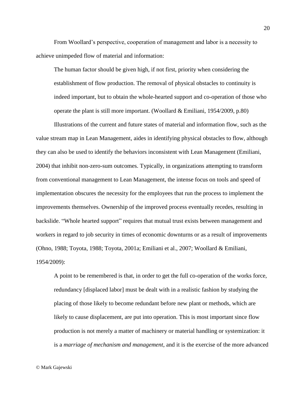From Woollard's perspective, cooperation of management and labor is a necessity to achieve unimpeded flow of material and information:

The human factor should be given high, if not first, priority when considering the establishment of flow production. The removal of physical obstacles to continuity is indeed important, but to obtain the whole-hearted support and co-operation of those who operate the plant is still more important. (Woollard & Emiliani, 1954/2009, p.80)

Illustrations of the current and future states of material and information flow, such as the value stream map in Lean Management, aides in identifying physical obstacles to flow, although they can also be used to identify the behaviors inconsistent with Lean Management (Emiliani, 2004) that inhibit non-zero-sum outcomes. Typically, in organizations attempting to transform from conventional management to Lean Management, the intense focus on tools and speed of implementation obscures the necessity for the employees that run the process to implement the improvements themselves. Ownership of the improved process eventually recedes, resulting in backslide. "Whole hearted support" requires that mutual trust exists between management and workers in regard to job security in times of economic downturns or as a result of improvements (Ohno, 1988; Toyota, 1988; Toyota, 2001a; Emiliani et al., 2007; Woollard & Emiliani, 1954/2009):

A point to be remembered is that, in order to get the full co-operation of the works force, redundancy [displaced labor] must be dealt with in a realistic fashion by studying the placing of those likely to become redundant before new plant or methods, which are likely to cause displacement, are put into operation. This is most important since flow production is not merely a matter of machinery or material handling or systemization: it is a *marriage of mechanism and management*, and it is the exercise of the more advanced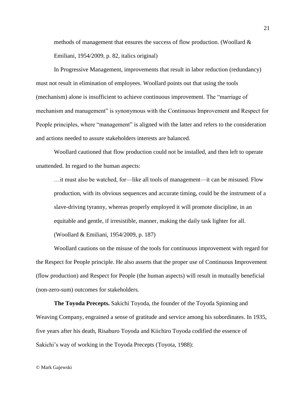methods of management that ensures the success of flow production. (Woollard  $\&$ Emiliani, 1954/2009, p. 82, italics original)

In Progressive Management, improvements that result in labor reduction (redundancy) must not result in elimination of employees. Woollard points out that using the tools (mechanism) alone is insufficient to achieve continuous improvement. The "marriage of mechanism and management" is synonymous with the Continuous Improvement and Respect for People principles, where "management" is aligned with the latter and refers to the consideration and actions needed to assure stakeholders interests are balanced.

Woollard cautioned that flow production could not be installed, and then left to operate unattended. In regard to the human aspects:

…it must also be watched, for—like all tools of management—it can be misused. Flow production, with its obvious sequences and accurate timing, could be the instrument of a slave-driving tyranny, whereas properly employed it will promote discipline, in an equitable and gentle, if irresistible, manner, making the daily task lighter for all. (Woollard & Emiliani, 1954/2009, p. 187)

Woollard cautions on the misuse of the tools for continuous improvement with regard for the Respect for People principle. He also asserts that the proper use of Continuous Improvement (flow production) and Respect for People (the human aspects) will result in mutually beneficial (non-zero-sum) outcomes for stakeholders.

**The Toyoda Precepts.** Sakichi Toyoda, the founder of the Toyoda Spinning and Weaving Company, engrained a sense of gratitude and service among his subordinates. In 1935, five years after his death, Risaburo Toyoda and Kiichiro Toyoda codified the essence of Sakichi's way of working in the Toyoda Precepts (Toyota, 1988):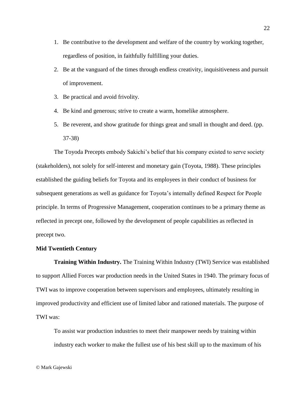- 1. Be contributive to the development and welfare of the country by working together, regardless of position, in faithfully fulfilling your duties.
- 2. Be at the vanguard of the times through endless creativity, inquisitiveness and pursuit of improvement.
- 3. Be practical and avoid frivolity.
- 4. Be kind and generous; strive to create a warm, homelike atmosphere.
- 5. Be reverent, and show gratitude for things great and small in thought and deed. (pp. 37-38)

The Toyoda Precepts embody Sakichi's belief that his company existed to serve society (stakeholders), not solely for self-interest and monetary gain (Toyota, 1988). These principles established the guiding beliefs for Toyota and its employees in their conduct of business for subsequent generations as well as guidance for Toyota's internally defined Respect for People principle. In terms of Progressive Management, cooperation continues to be a primary theme as reflected in precept one, followed by the development of people capabilities as reflected in precept two.

## **Mid Twentieth Century**

**Training Within Industry.** The Training Within Industry (TWI) Service was established to support Allied Forces war production needs in the United States in 1940. The primary focus of TWI was to improve cooperation between supervisors and employees, ultimately resulting in improved productivity and efficient use of limited labor and rationed materials. The purpose of TWI was:

To assist war production industries to meet their manpower needs by training within industry each worker to make the fullest use of his best skill up to the maximum of his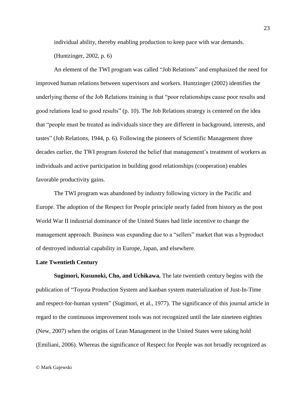individual ability, thereby enabling production to keep pace with war demands.

(Huntzinger, 2002, p. 6)

An element of the TWI program was called "Job Relations" and emphasized the need for improved human relations between supervisors and workers. Huntzinger (2002) identifies the underlying theme of the Job Relations training is that "poor relationships cause poor results and good relations lead to good results" (p. 10). The Job Relations strategy is centered on the idea that "people must be treated as individuals since they are different in background, interests, and tastes" (Job Relations, 1944, p. 6). Following the pioneers of Scientific Management three decades earlier, the TWI program fostered the belief that management's treatment of workers as individuals and active participation in building good relationships (cooperation) enables favorable productivity gains.

The TWI program was abandoned by industry following victory in the Pacific and Europe. The adoption of the Respect for People principle nearly faded from history as the post World War II industrial dominance of the United States had little incentive to change the management approach. Business was expanding due to a "sellers" market that was a byproduct of destroyed industrial capability in Europe, Japan, and elsewhere.

#### **Late Twentieth Century**

**Sugimori, Kusunoki, Cho, and Uchikawa.** The late twentieth century begins with the publication of "Toyota Production System and kanban system materialization of Just-In-Time and respect-for-human system" (Sugimori, et al., 1977). The significance of this journal article in regard to the continuous improvement tools was not recognized until the late nineteen eighties (New, 2007) when the origins of Lean Management in the United States were taking hold (Emiliani, 2006). Whereas the significance of Respect for People was not broadly recognized as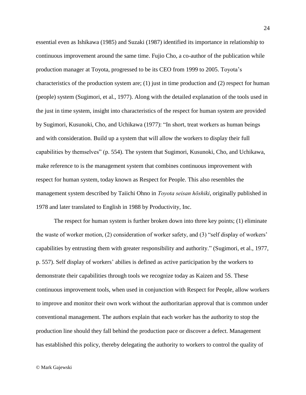essential even as Ishikawa (1985) and Suzaki (1987) identified its importance in relationship to continuous improvement around the same time. Fujio Cho, a co-author of the publication while production manager at Toyota, progressed to be its CEO from 1999 to 2005. Toyota's characteristics of the production system are;  $(1)$  just in time production and  $(2)$  respect for human (people) system (Sugimori, et al., 1977). Along with the detailed explanation of the tools used in the just in time system, insight into characteristics of the respect for human system are provided by Sugimori, Kusunoki, Cho, and Uchikawa (1977): "In short, treat workers as human beings and with consideration. Build up a system that will allow the workers to display their full capabilities by themselves" (p. 554). The system that Sugimori, Kusunoki, Cho, and Uchikawa, make reference to is the management system that combines continuous improvement with respect for human system, today known as Respect for People. This also resembles the management system described by Taiichi Ohno in *Toyota seisan hōshiki*, originally published in 1978 and later translated to English in 1988 by Productivity, Inc.

The respect for human system is further broken down into three key points; (1) eliminate the waste of worker motion, (2) consideration of worker safety, and (3) "self display of workers' capabilities by entrusting them with greater responsibility and authority." (Sugimori, et al., 1977, p. 557). Self display of workers' abilies is defined as active participation by the workers to demonstrate their capabilities through tools we recognize today as Kaizen and 5S. These continuous improvement tools, when used in conjunction with Respect for People, allow workers to improve and monitor their own work without the authoritarian approval that is common under conventional management. The authors explain that each worker has the authority to stop the production line should they fall behind the production pace or discover a defect. Management has established this policy, thereby delegating the authority to workers to control the quality of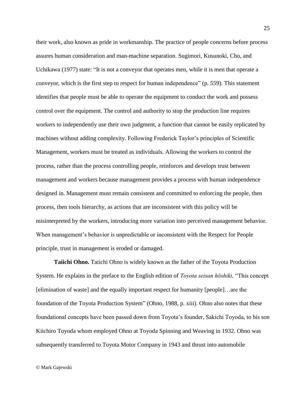their work, also known as pride in workmanship. The practice of people concerns before process assures human consideration and man-machine separation. Sugimori, Kusunoki, Cho, and Uchikawa (1977) state: "It is not a conveyor that operates men, while it is men that operate a conveyor, which is the first step to respect for human independence" (p. 559). This statement identifies that people must be able to operate the equipment to conduct the work and possess control over the equipment. The control and authority to stop the production line requires workers to independently use their own judgment, a function that cannot be easily replicated by machines without adding complexity. Following Frederick Taylor's principles of Scientific Management, workers must be treated as individuals. Allowing the workers to control the process, rather than the process controlling people, reinforces and develops trust between management and workers because management provides a process with human independence designed in. Management must remain consistent and committed to enforcing the people, then process, then tools hierarchy, as actions that are inconsistent with this policy will be misinterpreted by the workers, introducing more variation into perceived management behavior. When management's behavior is unpredictable or inconsistent with the Respect for People principle, trust in management is eroded or damaged.

**Taiichi Ohno.** Taiichi Ohno is widely known as the father of the Toyota Production System. He explains in the preface to the English edition of *Toyota seisan hōshiki,* "This concept [elimination of waste] and the equally important respect for humanity [people]…are the foundation of the Toyota Production System" (Ohno, 1988, p. xiii). Ohno also notes that these foundational concepts have been passed down from Toyota's founder, Sakichi Toyoda, to his son Kiichiro Toyoda whom employed Ohno at Toyoda Spinning and Weaving in 1932. Ohno was subsequently transferred to Toyota Motor Company in 1943 and thrust into automobile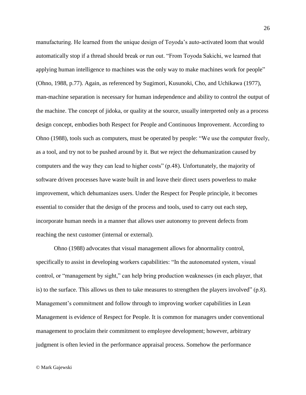manufacturing. He learned from the unique design of Toyoda's auto-activated loom that would automatically stop if a thread should break or run out. "From Toyoda Sakichi, we learned that applying human intelligence to machines was the only way to make machines work for people" (Ohno, 1988, p.77). Again, as referenced by Sugimori, Kusunoki, Cho, and Uchikawa (1977), man-machine separation is necessary for human independence and ability to control the output of the machine. The concept of jidoka, or quality at the source, usually interpreted only as a process design concept, embodies both Respect for People and Continuous Improvement. According to Ohno (1988), tools such as computers, must be operated by people: "We use the computer freely, as a tool, and try not to be pushed around by it. But we reject the dehumanization caused by computers and the way they can lead to higher costs" (p.48). Unfortunately, the majority of software driven processes have waste built in and leave their direct users powerless to make improvement, which dehumanizes users. Under the Respect for People principle, it becomes essential to consider that the design of the process and tools, used to carry out each step, incorporate human needs in a manner that allows user autonomy to prevent defects from reaching the next customer (internal or external).

Ohno (1988) advocates that visual management allows for abnormality control, specifically to assist in developing workers capabilities: "In the autonomated system, visual control, or "management by sight," can help bring production weaknesses (in each player, that is) to the surface. This allows us then to take measures to strengthen the players involved"  $(p.8)$ . Management's commitment and follow through to improving worker capabilities in Lean Management is evidence of Respect for People. It is common for managers under conventional management to proclaim their commitment to employee development; however, arbitrary judgment is often levied in the performance appraisal process. Somehow the performance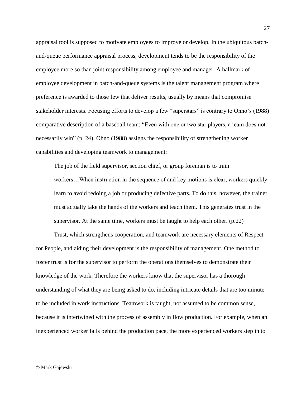appraisal tool is supposed to motivate employees to improve or develop. In the ubiquitous batchand-queue performance appraisal process, development tends to be the responsibility of the employee more so than joint responsibility among employee and manager. A hallmark of employee development in batch-and-queue systems is the talent management program where preference is awarded to those few that deliver results, usually by means that compromise stakeholder interests. Focusing efforts to develop a few "superstars" is contrary to Ohno's (1988) comparative description of a baseball team: "Even with one or two star players, a team does not necessarily win" (p. 24). Ohno (1988) assigns the responsibility of strengthening worker capabilities and developing teamwork to management:

The job of the field supervisor, section chief, or group foreman is to train workers…When instruction in the sequence of and key motions is clear, workers quickly learn to avoid redoing a job or producing defective parts. To do this, however, the trainer must actually take the hands of the workers and teach them. This generates trust in the supervisor. At the same time, workers must be taught to help each other. (p.22)

Trust, which strengthens cooperation, and teamwork are necessary elements of Respect for People, and aiding their development is the responsibility of management. One method to foster trust is for the supervisor to perform the operations themselves to demonstrate their knowledge of the work. Therefore the workers know that the supervisor has a thorough understanding of what they are being asked to do, including intricate details that are too minute to be included in work instructions. Teamwork is taught, not assumed to be common sense, because it is intertwined with the process of assembly in flow production. For example, when an inexperienced worker falls behind the production pace, the more experienced workers step in to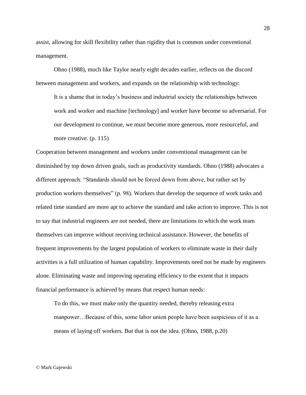assist, allowing for skill flexibility rather than rigidity that is common under conventional management.

Ohno (1988), much like Taylor nearly eight decades earlier, reflects on the discord between management and workers, and expands on the relationship with technology:

It is a shame that in today's business and industrial society the relationships between work and worker and machine [technology] and worker have become so adversarial. For our development to continue, we must become more generous, more resourceful, and more creative. (p. 115)

Cooperation between management and workers under conventional management can be diminished by top down driven goals, such as productivity standards. Ohno (1988) advocates a different approach: "Standards should not be forced down from above, but rather set by production workers themselves" (p. 98). Workers that develop the sequence of work tasks and related time standard are more apt to achieve the standard and take action to improve. This is not to say that industrial engineers are not needed, there are limitations to which the work team themselves can improve without receiving technical assistance. However, the benefits of frequent improvements by the largest population of workers to eliminate waste in their daily activities is a full utilization of human capability. Improvements need not be made by engineers alone. Eliminating waste and improving operating efficiency to the extent that it impacts financial performance is achieved by means that respect human needs:

To do this, we must make only the quantity needed, thereby releasing extra manpower…Because of this, some labor union people have been suspicious of it as a means of laying off workers. But that is not the idea. (Ohno, 1988, p.20)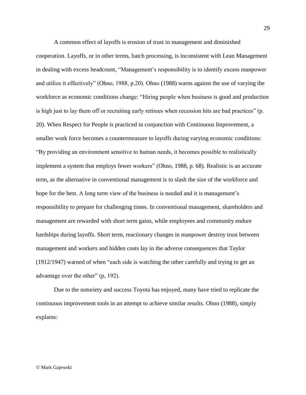A common effect of layoffs is erosion of trust in management and diminished cooperation. Layoffs, or in other terms, batch processing, is inconsistent with Lean Management in dealing with excess headcount, "Management's responsibility is to identify excess manpower and utilize it effectively" (Ohno, 1988, p.20). Ohno (1988) warns against the use of varying the workforce as economic conditions change: "Hiring people when business is good and production is high just to lay them off or recruiting early retirees when recession hits are bad practices" (p. 20). When Respect for People is practiced in conjunction with Continuous Improvement, a smaller work force becomes a countermeasure to layoffs during varying economic conditions: "By providing an environment sensitive to human needs, it becomes possible to realistically implement a system that employs fewer workers" (Ohno, 1988, p. 68). Realistic is an accurate term, as the alternative in conventional management is to slash the size of the workforce and hope for the best. A long term view of the business is needed and it is management's responsibility to prepare for challenging times. In conventional management, shareholders and management are rewarded with short term gains, while employees and community endure hardships during layoffs. Short term, reactionary changes in manpower destroy trust between management and workers and hidden costs lay in the adverse consequences that Taylor (1912/1947) warned of when "each side is watching the other carefully and trying to get an advantage over the other" (p, 192).

Due to the notoriety and success Toyota has enjoyed, many have tried to replicate the continuous improvement tools in an attempt to achieve similar results. Ohno (1988), simply explains:

© Mark Gajewski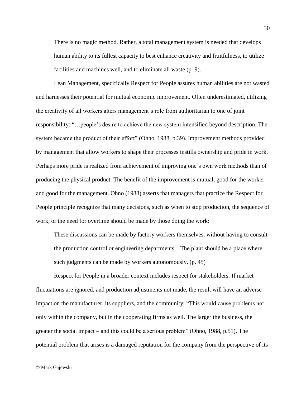There is no magic method. Rather, a total management system is needed that develops human ability to its fullest capacity to best enhance creativity and fruitfulness, to utilize facilities and machines well, and to eliminate all waste (p. 9).

Lean Management, specifically Respect for People assures human abilities are not wasted and harnesses their potential for mutual economic improvement. Often underestimated, utilizing the creativity of all workers alters management's role from authoritarian to one of joint responsibility: "…people's desire to achieve the new system intensified beyond description. The system became the product of their effort" (Ohno, 1988, p.39). Improvement methods provided by management that allow workers to shape their processes instills ownership and pride in work. Perhaps more pride is realized from achievement of improving one's own work methods than of producing the physical product. The benefit of the improvement is mutual; good for the worker and good for the management. Ohno (1988) asserts that managers that practice the Respect for People principle recognize that many decisions, such as when to stop production, the sequence of work, or the need for overtime should be made by those doing the work:

These discussions can be made by factory workers themselves, without having to consult the production control or engineering departments…The plant should be a place where such judgments can be made by workers autonomously. (p. 45)

Respect for People in a broader context includes respect for stakeholders. If market fluctuations are ignored, and production adjustments not made, the result will have an adverse impact on the manufacturer, its suppliers, and the community: "This would cause problems not only within the company, but in the cooperating firms as well. The larger the business, the greater the social impact – and this could be a serious problem" (Ohno, 1988, p.51). The potential problem that arises is a damaged reputation for the company from the perspective of its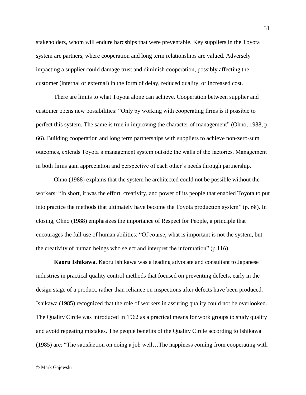stakeholders, whom will endure hardships that were preventable. Key suppliers in the Toyota system are partners, where cooperation and long term relationships are valued. Adversely impacting a supplier could damage trust and diminish cooperation, possibly affecting the customer (internal or external) in the form of delay, reduced quality, or increased cost.

There are limits to what Toyota alone can achieve. Cooperation between supplier and customer opens new possibilities: "Only by working with cooperating firms is it possible to perfect this system. The same is true in improving the character of management" (Ohno, 1988, p. 66). Building cooperation and long term partnerships with suppliers to achieve non-zero-sum outcomes, extends Toyota's management system outside the walls of the factories. Management in both firms gain appreciation and perspective of each other's needs through partnership.

Ohno (1988) explains that the system he architected could not be possible without the workers: "In short, it was the effort, creativity, and power of its people that enabled Toyota to put into practice the methods that ultimately have become the Toyota production system" (p. 68). In closing, Ohno (1988) emphasizes the importance of Respect for People, a principle that encourages the full use of human abilities: "Of course, what is important is not the system, but the creativity of human beings who select and interpret the information" (p.116).

**Kaoru Ishikawa.** Kaoru Ishikawa was a leading advocate and consultant to Japanese industries in practical quality control methods that focused on preventing defects, early in the design stage of a product, rather than reliance on inspections after defects have been produced. Ishikawa (1985) recognized that the role of workers in assuring quality could not be overlooked. The Quality Circle was introduced in 1962 as a practical means for work groups to study quality and avoid repeating mistakes. The people benefits of the Quality Circle according to Ishikawa (1985) are: "The satisfaction on doing a job well…The happiness coming from cooperating with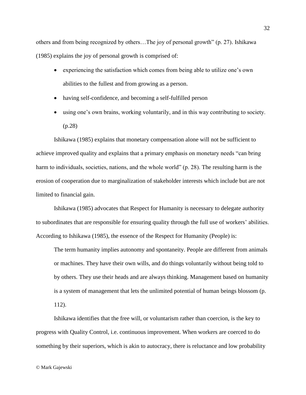others and from being recognized by others…The joy of personal growth" (p. 27). Ishikawa (1985) explains the joy of personal growth is comprised of:

- experiencing the satisfaction which comes from being able to utilize one's own abilities to the fullest and from growing as a person.
- having self-confidence, and becoming a self-fulfilled person
- using one's own brains, working voluntarily, and in this way contributing to society. (p.28)

Ishikawa (1985) explains that monetary compensation alone will not be sufficient to achieve improved quality and explains that a primary emphasis on monetary needs "can bring harm to individuals, societies, nations, and the whole world" (p. 28). The resulting harm is the erosion of cooperation due to marginalization of stakeholder interests which include but are not limited to financial gain.

Ishikawa (1985) advocates that Respect for Humanity is necessary to delegate authority to subordinates that are responsible for ensuring quality through the full use of workers' abilities. According to Ishikawa (1985), the essence of the Respect for Humanity (People) is:

The term humanity implies autonomy and spontaneity. People are different from animals or machines. They have their own wills, and do things voluntarily without being told to by others. They use their heads and are always thinking. Management based on humanity is a system of management that lets the unlimited potential of human beings blossom (p. 112).

Ishikawa identifies that the free will, or voluntarism rather than coercion, is the key to progress with Quality Control, i.e. continuous improvement. When workers are coerced to do something by their superiors, which is akin to autocracy, there is reluctance and low probability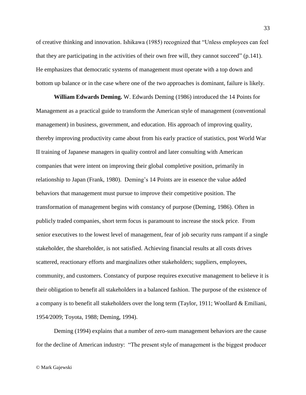of creative thinking and innovation. Ishikawa (1985) recognized that "Unless employees can feel that they are participating in the activities of their own free will, they cannot succeed" (p.141). He emphasizes that democratic systems of management must operate with a top down and bottom up balance or in the case where one of the two approaches is dominant, failure is likely.

**William Edwards Deming.** W. Edwards Deming (1986) introduced the 14 Points for Management as a practical guide to transform the American style of management (conventional management) in business, government, and education. His approach of improving quality, thereby improving productivity came about from his early practice of statistics, post World War II training of Japanese managers in quality control and later consulting with American companies that were intent on improving their global completive position, primarily in relationship to Japan (Frank, 1980). Deming's 14 Points are in essence the value added behaviors that management must pursue to improve their competitive position. The transformation of management begins with constancy of purpose (Deming, 1986). Often in publicly traded companies, short term focus is paramount to increase the stock price. From senior executives to the lowest level of management, fear of job security runs rampant if a single stakeholder, the shareholder, is not satisfied. Achieving financial results at all costs drives scattered, reactionary efforts and marginalizes other stakeholders; suppliers, employees, community, and customers. Constancy of purpose requires executive management to believe it is their obligation to benefit all stakeholders in a balanced fashion. The purpose of the existence of a company is to benefit all stakeholders over the long term (Taylor, 1911; Woollard & Emiliani, 1954/2009; Toyota, 1988; Deming, 1994).

Deming (1994) explains that a number of zero-sum management behaviors are the cause for the decline of American industry: "The present style of management is the biggest producer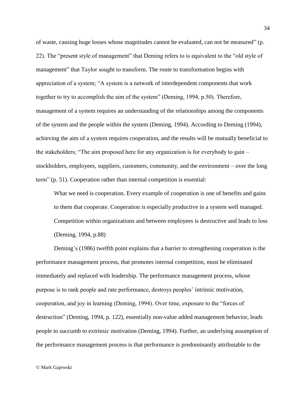of waste, causing huge losses whose magnitudes cannot be evaluated, can not be measured" (p. 22). The "present style of management" that Deming refers to is equivalent to the "old style of management" that Taylor sought to transform. The route to transformation begins with appreciation of a system; "A system is a network of interdependent components that work together to try to accomplish the aim of the system" (Deming, 1994, p.50). Therefore, management of a system requires an understanding of the relationships among the components of the system and the people within the system (Deming, 1994). According to Deming (1994), achieving the aim of a system requires cooperation, and the results will be mutually beneficial to the stakeholders; "The aim proposed here for any organization is for everybody to gain – stockholders, employees, suppliers, customers, community, and the environment – over the long term" (p. 51). Cooperation rather than internal competition is essential:

What we need is cooperation. Every example of cooperation is one of benefits and gains to them that cooperate. Cooperation is especially productive in a system well managed. Competition within organizations and between employees is destructive and leads to loss (Deming, 1994, p.88)

Deming's (1986) twelfth point explains that a barrier to strengthening cooperation is the performance management process, that promotes internal competition, must be eliminated immediately and replaced with leadership. The performance management process, whose purpose is to rank people and rate performance, destroys peoples' intrinsic motivation, cooperation, and joy in learning (Deming, 1994). Over time, exposure to the "forces of destruction" (Deming, 1994, p. 122), essentially non-value added management behavior, leads people to succumb to extrinsic motivation (Deming, 1994). Further, an underlying assumption of the performance management process is that performance is predominantly attributable to the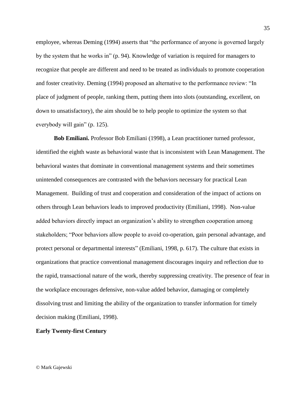employee, whereas Deming (1994) asserts that "the performance of anyone is governed largely by the system that he works in" (p. 94). Knowledge of variation is required for managers to recognize that people are different and need to be treated as individuals to promote cooperation and foster creativity. Deming (1994) proposed an alternative to the performance review: "In place of judgment of people, ranking them, putting them into slots (outstanding, excellent, on down to unsatisfactory), the aim should be to help people to optimize the system so that everybody will gain" (p. 125).

**Bob Emiliani.** Professor Bob Emiliani (1998), a Lean practitioner turned professor, identified the eighth waste as behavioral waste that is inconsistent with Lean Management. The behavioral wastes that dominate in conventional management systems and their sometimes unintended consequences are contrasted with the behaviors necessary for practical Lean Management. Building of trust and cooperation and consideration of the impact of actions on others through Lean behaviors leads to improved productivity (Emiliani, 1998). Non-value added behaviors directly impact an organization's ability to strengthen cooperation among stakeholders; "Poor behaviors allow people to avoid co-operation, gain personal advantage, and protect personal or departmental interests" (Emiliani, 1998, p. 617). The culture that exists in organizations that practice conventional management discourages inquiry and reflection due to the rapid, transactional nature of the work, thereby suppressing creativity. The presence of fear in the workplace encourages defensive, non-value added behavior, damaging or completely dissolving trust and limiting the ability of the organization to transfer information for timely decision making (Emiliani, 1998).

## **Early Twenty-first Century**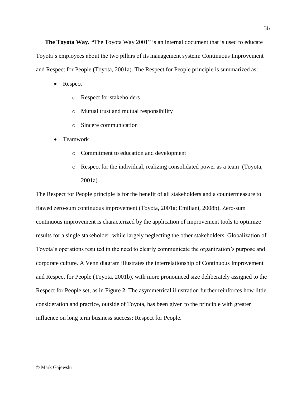**The Toyota Way.** *"*The Toyota Way 2001" is an internal document that is used to educate Toyota's employees about the two pillars of its management system: Continuous Improvement and Respect for People (Toyota, 2001a). The Respect for People principle is summarized as:

- Respect
	- o Respect for stakeholders
	- o Mutual trust and mutual responsibility
	- o Sincere communication
- Teamwork
	- o Commitment to education and development
	- o Respect for the individual, realizing consolidated power as a team (Toyota, 2001a)

The Respect for People principle is for the benefit of all stakeholders and a countermeasure to flawed zero-sum continuous improvement (Toyota, 2001a; Emiliani, 2008b). Zero-sum continuous improvement is characterized by the application of improvement tools to optimize results for a single stakeholder, while largely neglecting the other stakeholders. Globalization of Toyota's operations resulted in the need to clearly communicate the organization's purpose and corporate culture. A Venn diagram illustrates the interrelationship of Continuous Improvement and Respect for People (Toyota, 2001b), with more pronounced size deliberately assigned to the Respect for People set, as in [Figure](#page-36-0) **2**. The asymmetrical illustration further reinforces how little consideration and practice, outside of Toyota, has been given to the principle with greater influence on long term business success: Respect for People.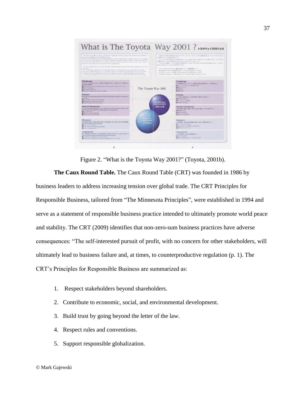

Figure 2. "What is the Toyota Way 2001?" (Toyota, 2001b).

<span id="page-36-0"></span>**The Caux Round Table.** The Caux Round Table (CRT) was founded in 1986 by business leaders to address increasing tension over global trade. The CRT Principles for Responsible Business, tailored from "The Minnesota Principles", were established in 1994 and serve as a statement of responsible business practice intended to ultimately promote world peace and stability. The CRT (2009) identifies that non-zero-sum business practices have adverse consequences: "The self-interested pursuit of profit, with no concern for other stakeholders, will ultimately lead to business failure and, at times, to counterproductive regulation (p. 1). The CRT's Principles for Responsible Business are summarized as:

- 1. Respect stakeholders beyond shareholders.
- 2. Contribute to economic, social, and environmental development.
- 3. Build trust by going beyond the letter of the law.
- 4. Respect rules and conventions.
- 5. Support responsible globalization.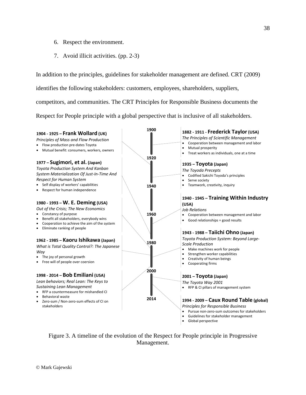- 6. Respect the environment.
- 7. Avoid illicit activities. (pp. 2-3)

In addition to the principles, guidelines for stakeholder management are defined. CRT (2009)

identifies the following stakeholders: customers, employees, shareholders, suppliers,

competitors, and communities. The CRT Principles for Responsible Business documents the

Respect for People principle with a global perspective that is inclusive of all stakeholders.



<span id="page-37-0"></span>Figure 3. A timeline of the evolution of the Respect for People principle in Progressive Management.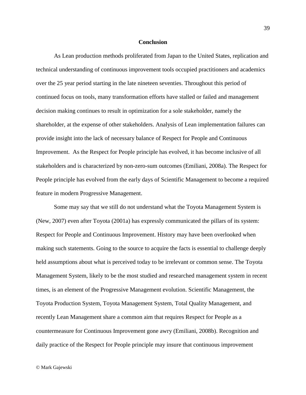#### **Conclusion**

As Lean production methods proliferated from Japan to the United States, replication and technical understanding of continuous improvement tools occupied practitioners and academics over the 25 year period starting in the late nineteen seventies. Throughout this period of continued focus on tools, many transformation efforts have stalled or failed and management decision making continues to result in optimization for a sole stakeholder, namely the shareholder, at the expense of other stakeholders. Analysis of Lean implementation failures can provide insight into the lack of necessary balance of Respect for People and Continuous Improvement. As the Respect for People principle has evolved, it has become inclusive of all stakeholders and is characterized by non-zero-sum outcomes (Emiliani, 2008a). The Respect for People principle has evolved from the early days of Scientific Management to become a required feature in modern Progressive Management.

Some may say that we still do not understand what the Toyota Management System is (New, 2007) even after Toyota (2001a) has expressly communicated the pillars of its system: Respect for People and Continuous Improvement. History may have been overlooked when making such statements. Going to the source to acquire the facts is essential to challenge deeply held assumptions about what is perceived today to be irrelevant or common sense. The Toyota Management System, likely to be the most studied and researched management system in recent times, is an element of the Progressive Management evolution. Scientific Management, the Toyota Production System, Toyota Management System, Total Quality Management, and recently Lean Management share a common aim that requires Respect for People as a countermeasure for Continuous Improvement gone awry (Emiliani, 2008b). Recognition and daily practice of the Respect for People principle may insure that continuous improvement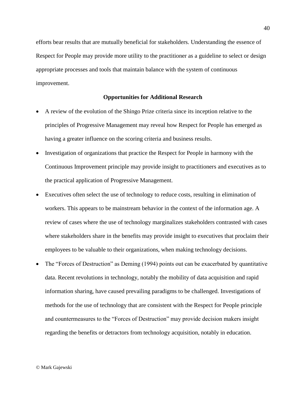efforts bear results that are mutually beneficial for stakeholders. Understanding the essence of Respect for People may provide more utility to the practitioner as a guideline to select or design appropriate processes and tools that maintain balance with the system of continuous improvement.

### **Opportunities for Additional Research**

- A review of the evolution of the Shingo Prize criteria since its inception relative to the principles of Progressive Management may reveal how Respect for People has emerged as having a greater influence on the scoring criteria and business results.
- Investigation of organizations that practice the Respect for People in harmony with the Continuous Improvement principle may provide insight to practitioners and executives as to the practical application of Progressive Management.
- Executives often select the use of technology to reduce costs, resulting in elimination of workers. This appears to be mainstream behavior in the context of the information age. A review of cases where the use of technology marginalizes stakeholders contrasted with cases where stakeholders share in the benefits may provide insight to executives that proclaim their employees to be valuable to their organizations, when making technology decisions.
- The "Forces of Destruction" as Deming (1994) points out can be exacerbated by quantitative data. Recent revolutions in technology, notably the mobility of data acquisition and rapid information sharing, have caused prevailing paradigms to be challenged. Investigations of methods for the use of technology that are consistent with the Respect for People principle and countermeasures to the "Forces of Destruction" may provide decision makers insight regarding the benefits or detractors from technology acquisition, notably in education.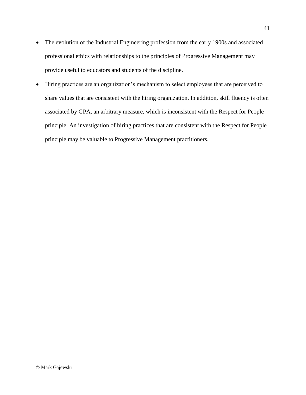- The evolution of the Industrial Engineering profession from the early 1900s and associated professional ethics with relationships to the principles of Progressive Management may provide useful to educators and students of the discipline.
- Hiring practices are an organization's mechanism to select employees that are perceived to share values that are consistent with the hiring organization. In addition, skill fluency is often associated by GPA, an arbitrary measure, which is inconsistent with the Respect for People principle. An investigation of hiring practices that are consistent with the Respect for People principle may be valuable to Progressive Management practitioners.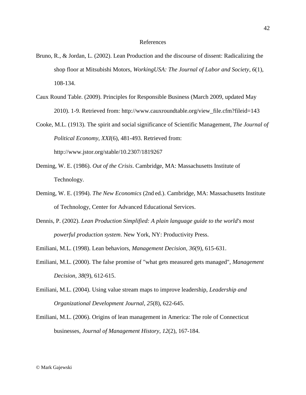#### References

- Bruno, R., & Jordan, L. (2002). Lean Production and the discourse of dissent: Radicalizing the shop floor at Mitsubishi Motors, *WorkingUSA: The Journal of Labor and Society*, *6*(1), 108-134.
- Caux Round Table. (2009). Principles for Responsible Business (March 2009, updated May 2010). 1-9. Retrieved from: http://www.cauxroundtable.org/view\_file.cfm?fileid=143

Cooke, M.L. (1913). The spirit and social significance of Scientific Management, *The Journal of Political Economy*, *XXI*(6), 481-493. Retrieved from: http://www.jstor.org/stable/10.2307/1819267

- Deming, W. E. (1986). *Out of the Crisis*. Cambridge, MA: Massachusetts Institute of Technology.
- Deming, W. E. (1994). *The New Economics* (2nd ed.). Cambridge, MA: Massachusetts Institute of Technology, Center for Advanced Educational Services.
- Dennis, P. (2002). *Lean Production Simplified: A plain language guide to the world's most powerful production system*. New York, NY: Productivity Press.
- Emiliani, M.L. (1998). Lean behaviors, *Management Decision*, *36*(9), 615-631.
- Emiliani, M.L. (2000). The false promise of "what gets measured gets managed", *Management Decision*, *38*(9), 612-615.
- Emiliani, M.L. (2004). Using value stream maps to improve leadership, *Leadership and Organizational Development Journal*, *25*(8), 622-645.
- Emiliani, M.L. (2006). Origins of lean management in America: The role of Connecticut businesses, *Journal of Management History*, *12*(2), 167-184.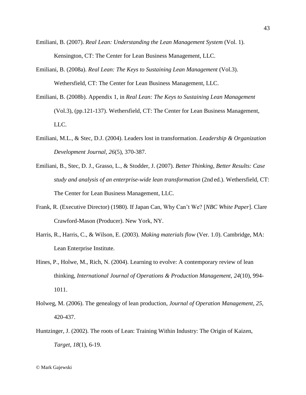- Emiliani, B. (2007). *Real Lean: Understanding the Lean Management System* (Vol. 1). Kensington, CT: The Center for Lean Business Management, LLC.
- Emiliani, B. (2008a). *Real Lean: The Keys to Sustaining Lean Management* (Vol.3). Wethersfield, CT: The Center for Lean Business Management, LLC.
- Emiliani, B. (2008b). Appendix 1, in *Real Lean: The Keys to Sustaining Lean Management* (Vol.3), (pp.121-137). Wethersfield, CT: The Center for Lean Business Management, LLC.
- Emiliani, M.L., & Stec, D.J. (2004). Leaders lost in transformation. *Leadership & Organization Development Journal*, *26*(5), 370-387.
- Emiliani, B., Stec, D. J., Grasso, L., & Stodder, J. (2007). *Better Thinking, Better Results: Case study and analysis of an enterprise-wide lean transformation* (2nd ed.). Wethersfield, CT: The Center for Lean Business Management, LLC.
- Frank, R. (Executive Director) (1980). If Japan Can, Why Can't We? [*NBC White Paper*]. Clare Crawford-Mason (Producer). New York, NY.
- Harris, R., Harris, C., & Wilson, E. (2003). *Making materials flow* (Ver. 1.0). Cambridge, MA: Lean Enterprise Institute.
- Hines, P., Holwe, M., Rich, N. (2004). Learning to evolve: A contemporary review of lean thinking, *International Journal of Operations & Production Management*, *24*(10), 994- 1011.
- Holweg, M. (2006). The genealogy of lean production, *Journal of Operation Management*, *25*, 420-437.
- Huntzinger, J. (2002). The roots of Lean: Training Within Industry: The Origin of Kaizen, *Target*, *18*(1), 6-19.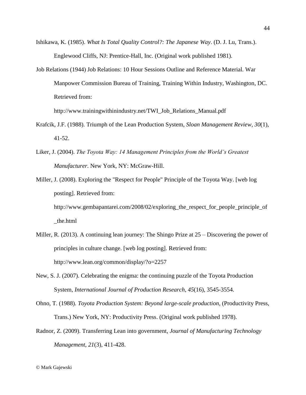- Ishikawa, K. (1985). *What Is Total Quality Control?: The Japanese Way*. (D. J. Lu, Trans.). Englewood Cliffs, NJ: Prentice-Hall, Inc. (Original work published 1981).
- Job Relations (1944) Job Relations: 10 Hour Sessions Outline and Reference Material. War Manpower Commission Bureau of Training, Training Within Industry, Washington, DC. Retrieved from:

http://www.trainingwithinindustry.net/TWI\_Job\_Relations\_Manual.pdf

- Krafcik, J.F. (1988). Triumph of the Lean Production System, *Sloan Management Review*, *30*(1), 41-52.
- Liker, J. (2004). *The Toyota Way: 14 Management Principles from the World's Greatest Manufacturer*. New York, NY: McGraw-Hill.
- Miller, J. (2008). Exploring the "Respect for People" Principle of the Toyota Way. [web log posting]. Retrieved from: http://www.gembapantarei.com/2008/02/exploring\_the\_respect\_for\_people\_principle\_of \_the.html
- Miller, R. (2013). A continuing lean journey: The Shingo Prize at 25 Discovering the power of principles in culture change. [web log posting]. Retrieved from: http://www.lean.org/common/display/?o=2257
- New, S. J. (2007). Celebrating the enigma: the continuing puzzle of the Toyota Production System, *International Journal of Production Research*, *45*(16), 3545-3554.
- Ohno, T. (1988). *Toyota Production System: Beyond large-scale production*, (Productivity Press, Trans.) New York, NY: Productivity Press. (Original work published 1978).
- Radnor, Z. (2009). Transferring Lean into government, *Journal of Manufacturing Technology Management*, *21*(3), 411-428.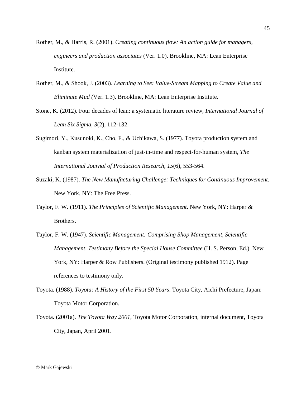- Rother, M., & Harris, R. (2001). *Creating continuous flow: An action guide for managers, engineers and production associates* (Ver. 1.0). Brookline, MA: Lean Enterprise Institute.
- Rother, M., & Shook, J. (2003). *Learning to See: Value-Stream Mapping to Create Value and Eliminate Mud (*Ver. 1.3). Brookline, MA: Lean Enterprise Institute.
- Stone, K. (2012). Four decades of lean: a systematic literature review*, International Journal of Lean Six Sigma*, *3*(2), 112-132.
- Sugimori, Y., Kusunoki, K., Cho, F., & Uchikawa, S. (1977). Toyota production system and kanban system materialization of just-in-time and respect-for-human system, *The International Journal of Production Research*, *15*(6), 553-564.
- Suzaki, K. (1987). *The New Manufacturing Challenge: Techniques for Continuous Improvement*. New York, NY: The Free Press.
- Taylor, F. W. (1911). *The Principles of Scientific Management*. New York, NY: Harper & Brothers.
- Taylor, F. W. (1947). *Scientific Management: Comprising Shop Management, Scientific Management, Testimony Before the Special House Committee* (H. S. Person, Ed.). New York, NY: Harper & Row Publishers. (Original testimony published 1912). Page references to testimony only.
- Toyota. (1988). *Toyota: A History of the First 50 Years*. Toyota City, Aichi Prefecture, Japan: Toyota Motor Corporation.
- Toyota. (2001a). *The Toyota Way 2001*, Toyota Motor Corporation, internal document, Toyota City, Japan, April 2001.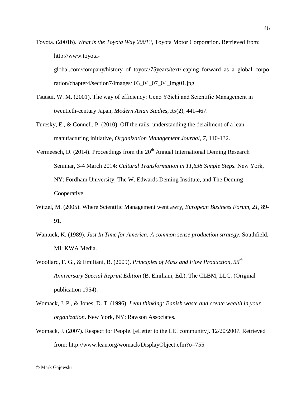Toyota. (2001b). *What is the Toyota Way 2001?*, Toyota Motor Corporation. Retrieved from: http://www.toyota-

global.com/company/history\_of\_toyota/75years/text/leaping\_forward\_as\_a\_global\_corpo ration/chapter4/section7/images/l03\_04\_07\_04\_img01.jpg

- Tsutsui, W. M. (2001). The way of efficiency: Ueno Yōichi and Scientific Management in twentieth-century Japan, *Modern Asian Studies*, *35*(2), 441-467.
- Turesky, E., & Connell, P. (2010). Off the rails: understanding the derailment of a lean manufacturing initiative, *Organization Management Journal*, *7*, 110-132.
- Vermeesch, D. (2014). Proceedings from the  $20<sup>th</sup>$  Annual International Deming Research Seminar, 3-4 March 2014: *Cultural Transformation in 11,638 Simple Steps.* New York, NY: Fordham University, The W. Edwards Deming Institute, and The Deming Cooperative.
- Witzel, M. (2005). Where Scientific Management went awry, *European Business Forum*, *21*, 89- 91.
- Wantuck, K. (1989). *Just In Time for America: A common sense production strategy*. Southfield, MI: KWA Media.
- Woollard, F. G., & Emiliani, B. (2009). *Principles of Mass and Flow Production, 55th Anniversary Special Reprint Edition* (B. Emiliani, Ed.). The CLBM, LLC. (Original publication 1954).
- Womack, J. P., & Jones, D. T. (1996). *Lean thinking: Banish waste and create wealth in your organization*. New York, NY: Rawson Associates.
- Womack, J. (2007). Respect for People. [eLetter to the LEI community]. 12/20/2007. Retrieved from: http://www.lean.org/womack/DisplayObject.cfm?o=755